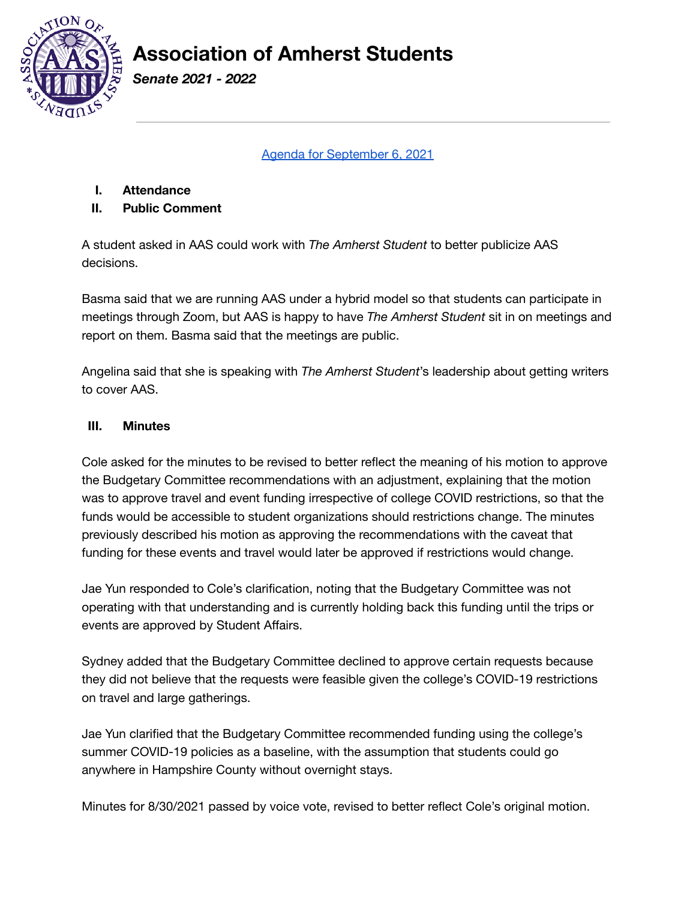

*Senate 2021 - 2022*

Agenda for [September](https://amherstcollege.zoom.us/j/97736314179) 6, 2021

**I. Attendance**

#### **II. Public Comment**

A student asked in AAS could work with *The Amherst Student* to better publicize AAS decisions.

Basma said that we are running AAS under a hybrid model so that students can participate in meetings through Zoom, but AAS is happy to have *The Amherst Student* sit in on meetings and report on them. Basma said that the meetings are public.

Angelina said that she is speaking with *The Amherst Student*'s leadership about getting writers to cover AAS.

#### **III. Minutes**

Cole asked for the minutes to be revised to better reflect the meaning of his motion to approve the Budgetary Committee recommendations with an adjustment, explaining that the motion was to approve travel and event funding irrespective of college COVID restrictions, so that the funds would be accessible to student organizations should restrictions change. The minutes previously described his motion as approving the recommendations with the caveat that funding for these events and travel would later be approved if restrictions would change.

Jae Yun responded to Cole's clarification, noting that the Budgetary Committee was not operating with that understanding and is currently holding back this funding until the trips or events are approved by Student Affairs.

Sydney added that the Budgetary Committee declined to approve certain requests because they did not believe that the requests were feasible given the college's COVID-19 restrictions on travel and large gatherings.

Jae Yun clarified that the Budgetary Committee recommended funding using the college's summer COVID-19 policies as a baseline, with the assumption that students could go anywhere in Hampshire County without overnight stays.

Minutes for 8/30/2021 passed by voice vote, revised to better reflect Cole's original motion.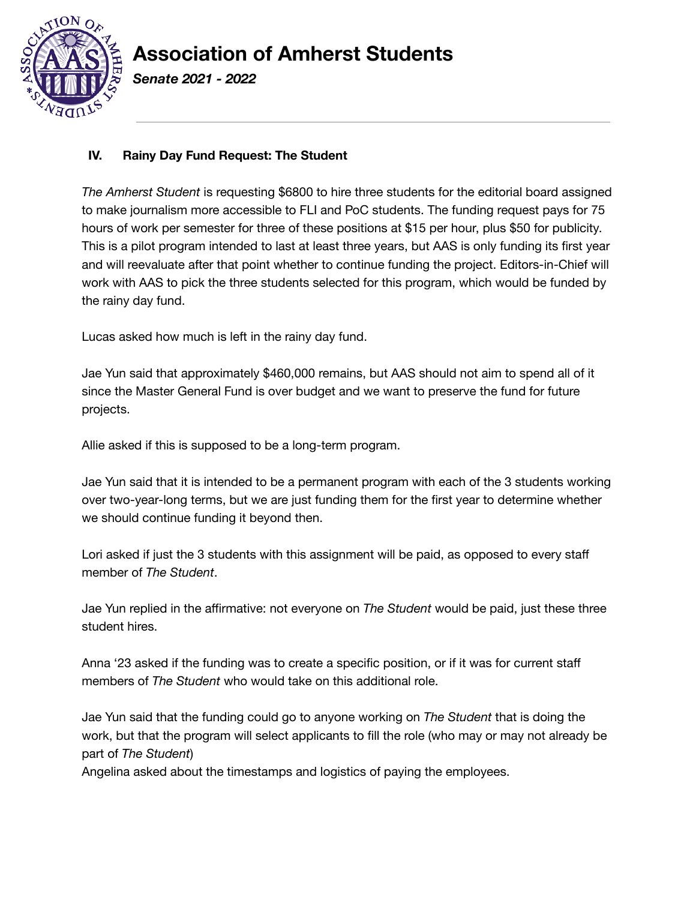

*Senate 2021 - 2022*

### **IV. Rainy Day Fund Request: The Student**

*The Amherst Student* is requesting \$6800 to hire three students for the editorial board assigned to make journalism more accessible to FLI and PoC students. The funding request pays for 75 hours of work per semester for three of these positions at \$15 per hour, plus \$50 for publicity. This is a pilot program intended to last at least three years, but AAS is only funding its first year and will reevaluate after that point whether to continue funding the project. Editors-in-Chief will work with AAS to pick the three students selected for this program, which would be funded by the rainy day fund.

Lucas asked how much is left in the rainy day fund.

Jae Yun said that approximately \$460,000 remains, but AAS should not aim to spend all of it since the Master General Fund is over budget and we want to preserve the fund for future projects.

Allie asked if this is supposed to be a long-term program.

Jae Yun said that it is intended to be a permanent program with each of the 3 students working over two-year-long terms, but we are just funding them for the first year to determine whether we should continue funding it beyond then.

Lori asked if just the 3 students with this assignment will be paid, as opposed to every staff member of *The Student*.

Jae Yun replied in the affirmative: not everyone on *The Student* would be paid, just these three student hires.

Anna '23 asked if the funding was to create a specific position, or if it was for current staff members of *The Student* who would take on this additional role.

Jae Yun said that the funding could go to anyone working on *The Student* that is doing the work, but that the program will select applicants to fill the role (who may or may not already be part of *The Student*)

Angelina asked about the timestamps and logistics of paying the employees.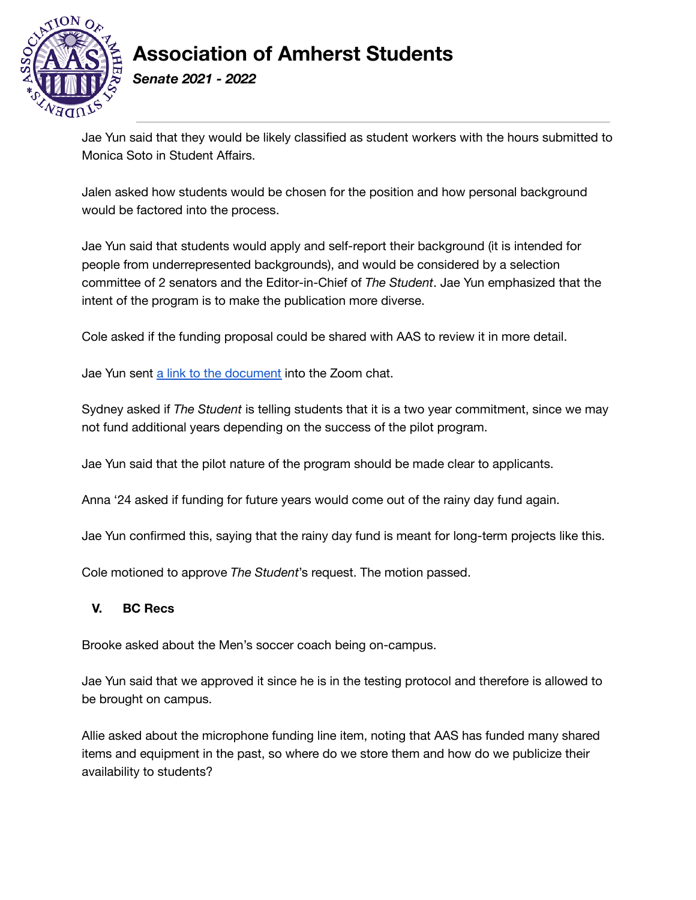

*Senate 2021 - 2022*

Jae Yun said that they would be likely classified as student workers with the hours submitted to Monica Soto in Student Affairs.

Jalen asked how students would be chosen for the position and how personal background would be factored into the process.

Jae Yun said that students would apply and self-report their background (it is intended for people from underrepresented backgrounds), and would be considered by a selection committee of 2 senators and the Editor-in-Chief of *The Student*. Jae Yun emphasized that the intent of the program is to make the publication more diverse.

Cole asked if the funding proposal could be shared with AAS to review it in more detail.

Jae Yun sent a link to the [document](https://docs.google.com/document/d/164r1Yuqa1C09D_aWUyiz26ChA5nroj8ll_q4Ey8y9AU/edit?usp=sharing) into the Zoom chat.

Sydney asked if *The Student* is telling students that it is a two year commitment, since we may not fund additional years depending on the success of the pilot program.

Jae Yun said that the pilot nature of the program should be made clear to applicants.

Anna '24 asked if funding for future years would come out of the rainy day fund again.

Jae Yun confirmed this, saying that the rainy day fund is meant for long-term projects like this.

Cole motioned to approve *The Student*'s request. The motion passed.

#### **V. BC Recs**

Brooke asked about the Men's soccer coach being on-campus.

Jae Yun said that we approved it since he is in the testing protocol and therefore is allowed to be brought on campus.

Allie asked about the microphone funding line item, noting that AAS has funded many shared items and equipment in the past, so where do we store them and how do we publicize their availability to students?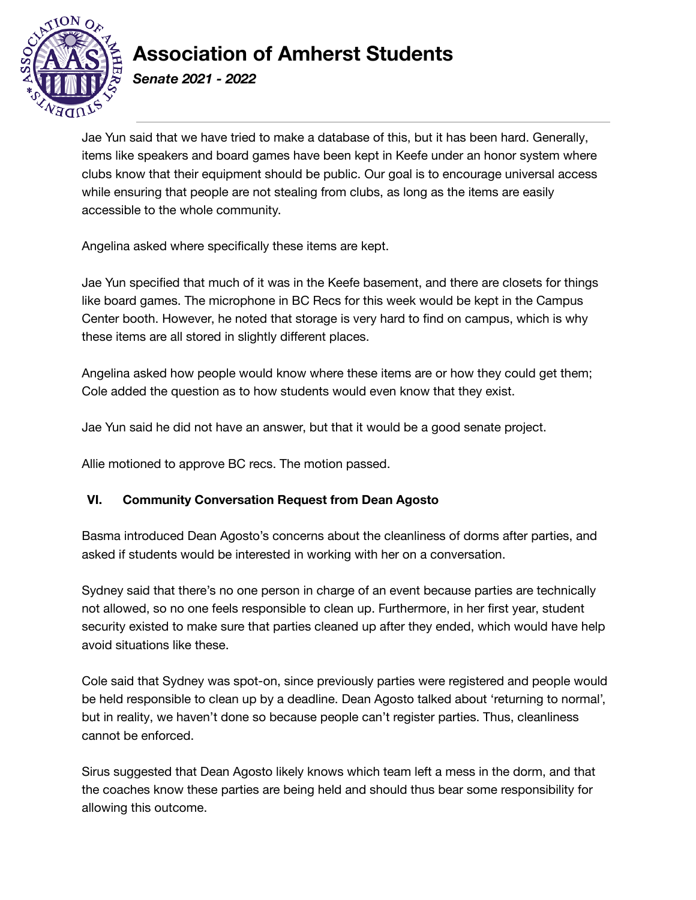

*Senate 2021 - 2022*

Jae Yun said that we have tried to make a database of this, but it has been hard. Generally, items like speakers and board games have been kept in Keefe under an honor system where clubs know that their equipment should be public. Our goal is to encourage universal access while ensuring that people are not stealing from clubs, as long as the items are easily accessible to the whole community.

Angelina asked where specifically these items are kept.

Jae Yun specified that much of it was in the Keefe basement, and there are closets for things like board games. The microphone in BC Recs for this week would be kept in the Campus Center booth. However, he noted that storage is very hard to find on campus, which is why these items are all stored in slightly different places.

Angelina asked how people would know where these items are or how they could get them; Cole added the question as to how students would even know that they exist.

Jae Yun said he did not have an answer, but that it would be a good senate project.

Allie motioned to approve BC recs. The motion passed.

### **VI. Community Conversation Request from Dean Agosto**

Basma introduced Dean Agosto's concerns about the cleanliness of dorms after parties, and asked if students would be interested in working with her on a conversation.

Sydney said that there's no one person in charge of an event because parties are technically not allowed, so no one feels responsible to clean up. Furthermore, in her first year, student security existed to make sure that parties cleaned up after they ended, which would have help avoid situations like these.

Cole said that Sydney was spot-on, since previously parties were registered and people would be held responsible to clean up by a deadline. Dean Agosto talked about 'returning to normal', but in reality, we haven't done so because people can't register parties. Thus, cleanliness cannot be enforced.

Sirus suggested that Dean Agosto likely knows which team left a mess in the dorm, and that the coaches know these parties are being held and should thus bear some responsibility for allowing this outcome.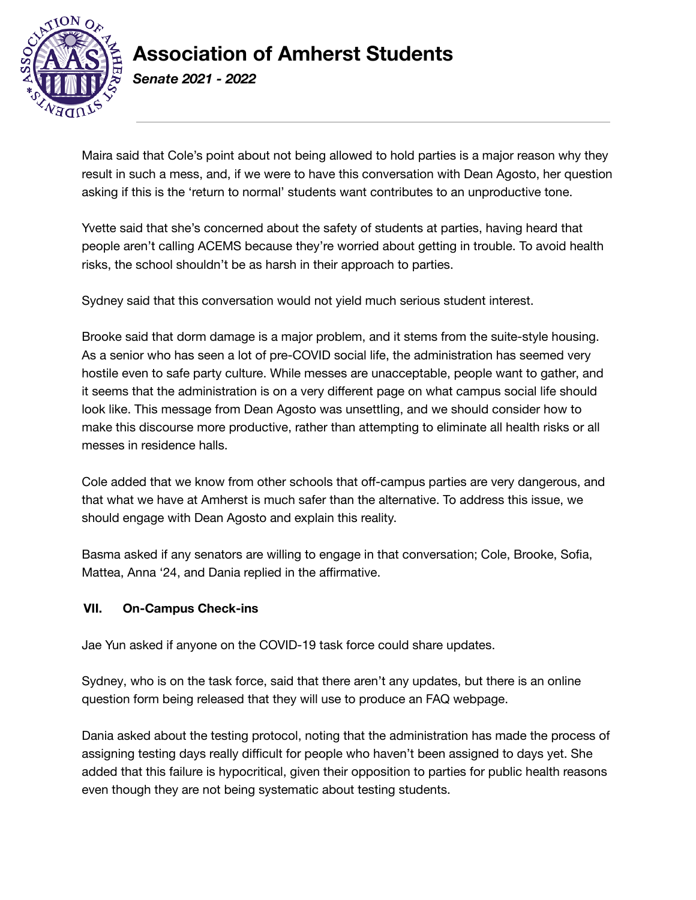

*Senate 2021 - 2022*

Maira said that Cole's point about not being allowed to hold parties is a major reason why they result in such a mess, and, if we were to have this conversation with Dean Agosto, her question asking if this is the 'return to normal' students want contributes to an unproductive tone.

Yvette said that she's concerned about the safety of students at parties, having heard that people aren't calling ACEMS because they're worried about getting in trouble. To avoid health risks, the school shouldn't be as harsh in their approach to parties.

Sydney said that this conversation would not yield much serious student interest.

Brooke said that dorm damage is a major problem, and it stems from the suite-style housing. As a senior who has seen a lot of pre-COVID social life, the administration has seemed very hostile even to safe party culture. While messes are unacceptable, people want to gather, and it seems that the administration is on a very different page on what campus social life should look like. This message from Dean Agosto was unsettling, and we should consider how to make this discourse more productive, rather than attempting to eliminate all health risks or all messes in residence halls.

Cole added that we know from other schools that off-campus parties are very dangerous, and that what we have at Amherst is much safer than the alternative. To address this issue, we should engage with Dean Agosto and explain this reality.

Basma asked if any senators are willing to engage in that conversation; Cole, Brooke, Sofia, Mattea, Anna '24, and Dania replied in the affirmative.

### **VII. On-Campus Check-ins**

Jae Yun asked if anyone on the COVID-19 task force could share updates.

Sydney, who is on the task force, said that there aren't any updates, but there is an online question form being released that they will use to produce an FAQ webpage.

Dania asked about the testing protocol, noting that the administration has made the process of assigning testing days really difficult for people who haven't been assigned to days yet. She added that this failure is hypocritical, given their opposition to parties for public health reasons even though they are not being systematic about testing students.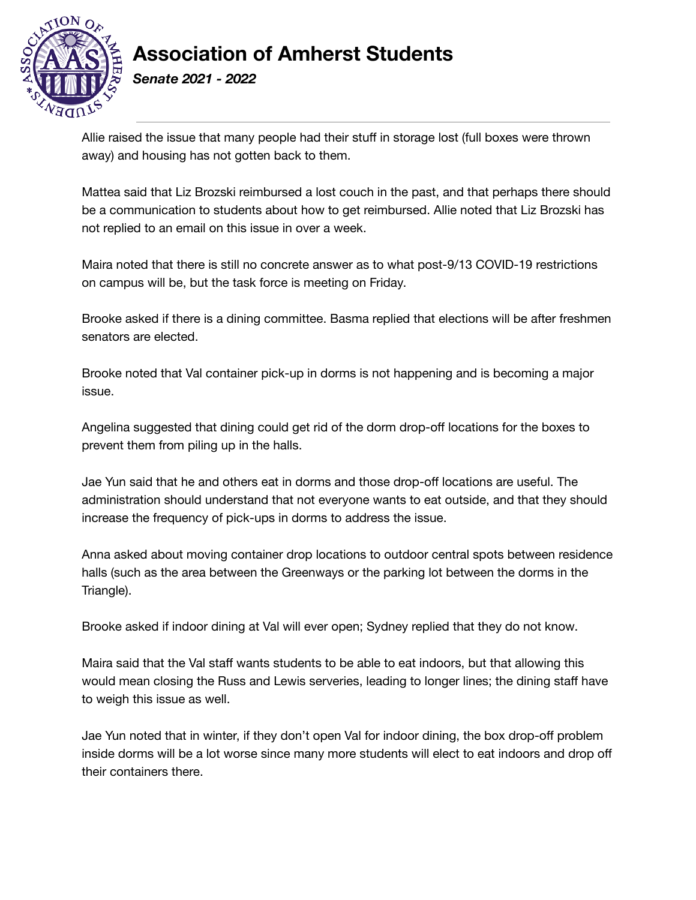

*Senate 2021 - 2022*

Allie raised the issue that many people had their stuff in storage lost (full boxes were thrown away) and housing has not gotten back to them.

Mattea said that Liz Brozski reimbursed a lost couch in the past, and that perhaps there should be a communication to students about how to get reimbursed. Allie noted that Liz Brozski has not replied to an email on this issue in over a week.

Maira noted that there is still no concrete answer as to what post-9/13 COVID-19 restrictions on campus will be, but the task force is meeting on Friday.

Brooke asked if there is a dining committee. Basma replied that elections will be after freshmen senators are elected.

Brooke noted that Val container pick-up in dorms is not happening and is becoming a major issue.

Angelina suggested that dining could get rid of the dorm drop-off locations for the boxes to prevent them from piling up in the halls.

Jae Yun said that he and others eat in dorms and those drop-off locations are useful. The administration should understand that not everyone wants to eat outside, and that they should increase the frequency of pick-ups in dorms to address the issue.

Anna asked about moving container drop locations to outdoor central spots between residence halls (such as the area between the Greenways or the parking lot between the dorms in the Triangle).

Brooke asked if indoor dining at Val will ever open; Sydney replied that they do not know.

Maira said that the Val staff wants students to be able to eat indoors, but that allowing this would mean closing the Russ and Lewis serveries, leading to longer lines; the dining staff have to weigh this issue as well.

Jae Yun noted that in winter, if they don't open Val for indoor dining, the box drop-off problem inside dorms will be a lot worse since many more students will elect to eat indoors and drop off their containers there.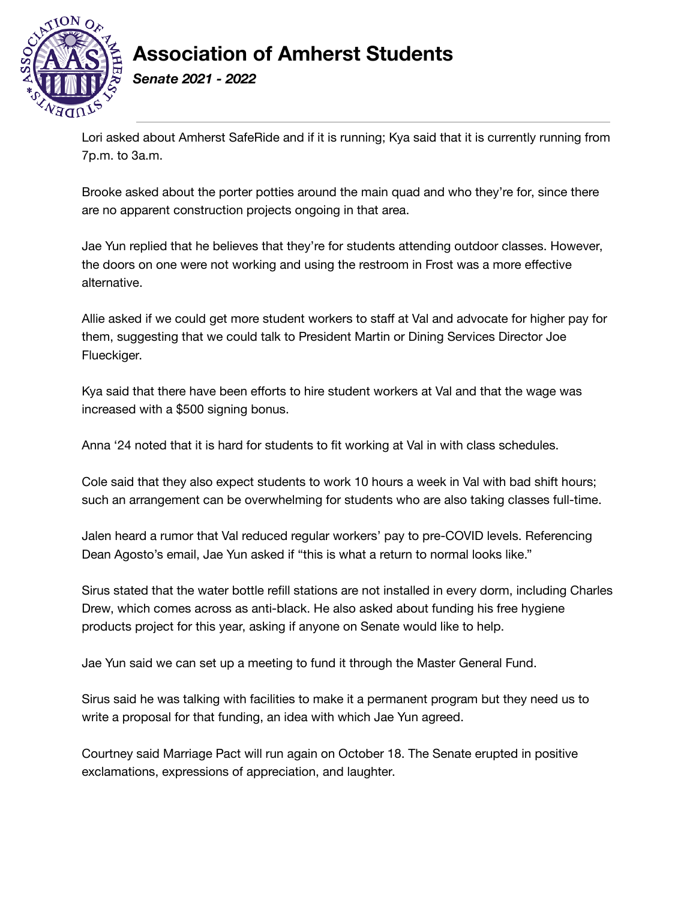

*Senate 2021 - 2022*

Lori asked about Amherst SafeRide and if it is running; Kya said that it is currently running from 7p.m. to 3a.m.

Brooke asked about the porter potties around the main quad and who they're for, since there are no apparent construction projects ongoing in that area.

Jae Yun replied that he believes that they're for students attending outdoor classes. However, the doors on one were not working and using the restroom in Frost was a more effective alternative.

Allie asked if we could get more student workers to staff at Val and advocate for higher pay for them, suggesting that we could talk to President Martin or Dining Services Director Joe Flueckiger.

Kya said that there have been efforts to hire student workers at Val and that the wage was increased with a \$500 signing bonus.

Anna '24 noted that it is hard for students to fit working at Val in with class schedules.

Cole said that they also expect students to work 10 hours a week in Val with bad shift hours; such an arrangement can be overwhelming for students who are also taking classes full-time.

Jalen heard a rumor that Val reduced regular workers' pay to pre-COVID levels. Referencing Dean Agosto's email, Jae Yun asked if "this is what a return to normal looks like."

Sirus stated that the water bottle refill stations are not installed in every dorm, including Charles Drew, which comes across as anti-black. He also asked about funding his free hygiene products project for this year, asking if anyone on Senate would like to help.

Jae Yun said we can set up a meeting to fund it through the Master General Fund.

Sirus said he was talking with facilities to make it a permanent program but they need us to write a proposal for that funding, an idea with which Jae Yun agreed.

Courtney said Marriage Pact will run again on October 18. The Senate erupted in positive exclamations, expressions of appreciation, and laughter.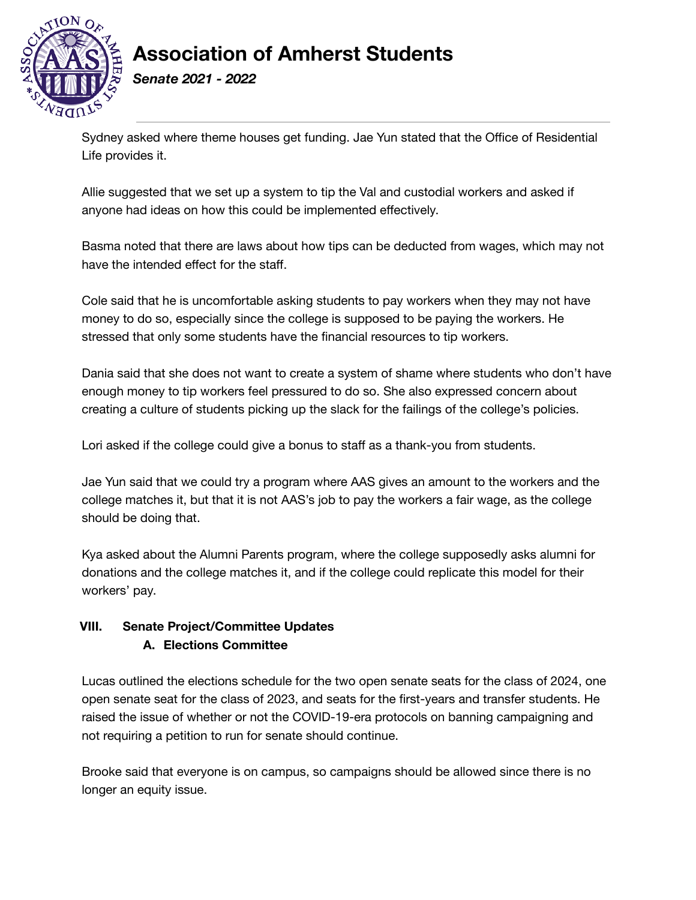

*Senate 2021 - 2022*

Sydney asked where theme houses get funding. Jae Yun stated that the Office of Residential Life provides it.

Allie suggested that we set up a system to tip the Val and custodial workers and asked if anyone had ideas on how this could be implemented effectively.

Basma noted that there are laws about how tips can be deducted from wages, which may not have the intended effect for the staff.

Cole said that he is uncomfortable asking students to pay workers when they may not have money to do so, especially since the college is supposed to be paying the workers. He stressed that only some students have the financial resources to tip workers.

Dania said that she does not want to create a system of shame where students who don't have enough money to tip workers feel pressured to do so. She also expressed concern about creating a culture of students picking up the slack for the failings of the college's policies.

Lori asked if the college could give a bonus to staff as a thank-you from students.

Jae Yun said that we could try a program where AAS gives an amount to the workers and the college matches it, but that it is not AAS's job to pay the workers a fair wage, as the college should be doing that.

Kya asked about the Alumni Parents program, where the college supposedly asks alumni for donations and the college matches it, and if the college could replicate this model for their workers' pay.

### **VIII. Senate Project/Committee Updates A. Elections Committee**

Lucas outlined the elections schedule for the two open senate seats for the class of 2024, one open senate seat for the class of 2023, and seats for the first-years and transfer students. He raised the issue of whether or not the COVID-19-era protocols on banning campaigning and not requiring a petition to run for senate should continue.

Brooke said that everyone is on campus, so campaigns should be allowed since there is no longer an equity issue.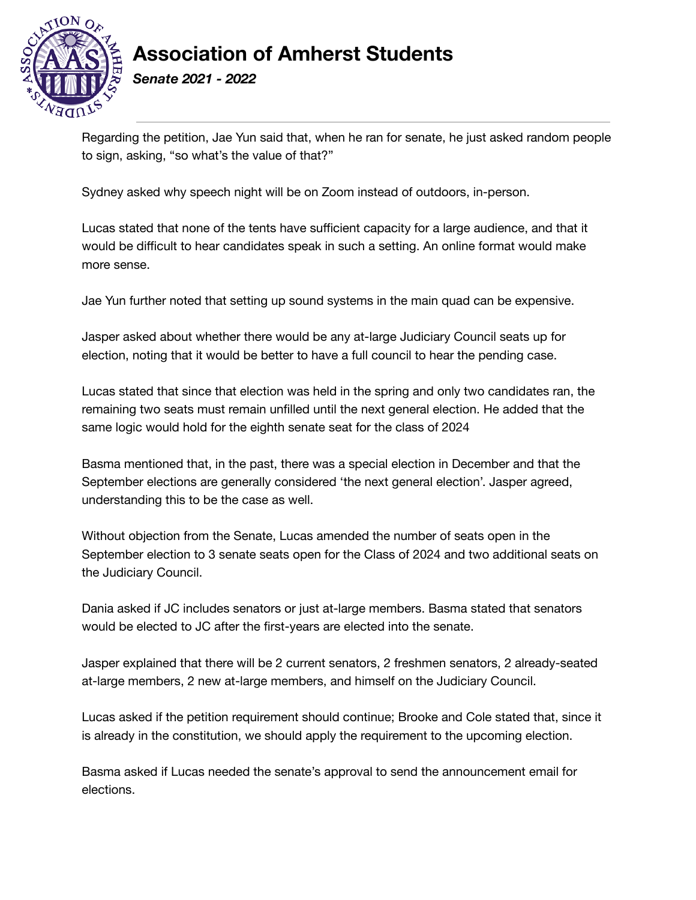

*Senate 2021 - 2022*

Regarding the petition, Jae Yun said that, when he ran for senate, he just asked random people to sign, asking, "so what's the value of that?"

Sydney asked why speech night will be on Zoom instead of outdoors, in-person.

Lucas stated that none of the tents have sufficient capacity for a large audience, and that it would be difficult to hear candidates speak in such a setting. An online format would make more sense.

Jae Yun further noted that setting up sound systems in the main quad can be expensive.

Jasper asked about whether there would be any at-large Judiciary Council seats up for election, noting that it would be better to have a full council to hear the pending case.

Lucas stated that since that election was held in the spring and only two candidates ran, the remaining two seats must remain unfilled until the next general election. He added that the same logic would hold for the eighth senate seat for the class of 2024

Basma mentioned that, in the past, there was a special election in December and that the September elections are generally considered 'the next general election'. Jasper agreed, understanding this to be the case as well.

Without objection from the Senate, Lucas amended the number of seats open in the September election to 3 senate seats open for the Class of 2024 and two additional seats on the Judiciary Council.

Dania asked if JC includes senators or just at-large members. Basma stated that senators would be elected to JC after the first-years are elected into the senate.

Jasper explained that there will be 2 current senators, 2 freshmen senators, 2 already-seated at-large members, 2 new at-large members, and himself on the Judiciary Council.

Lucas asked if the petition requirement should continue; Brooke and Cole stated that, since it is already in the constitution, we should apply the requirement to the upcoming election.

Basma asked if Lucas needed the senate's approval to send the announcement email for elections.